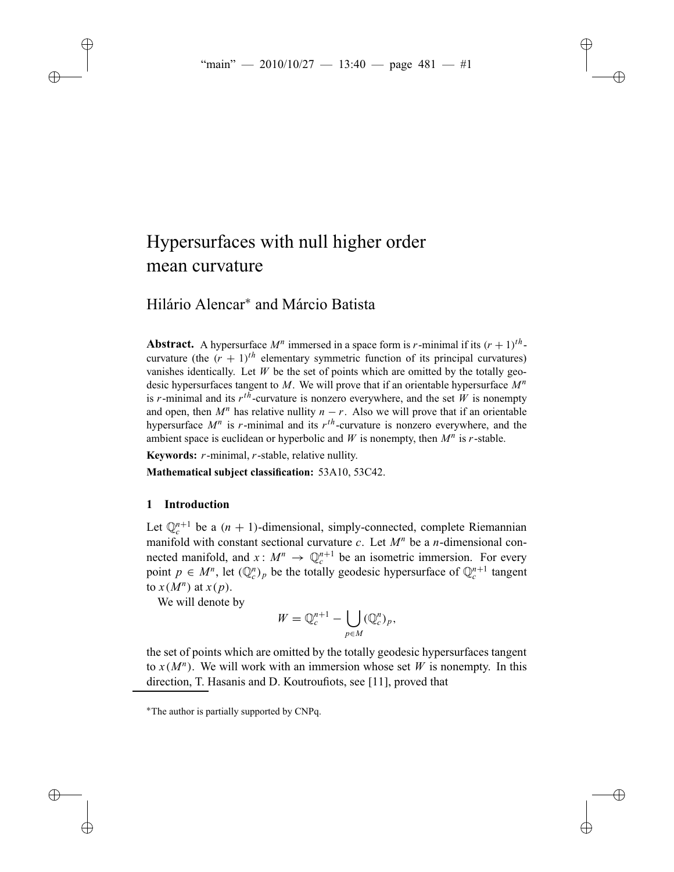# Hypersurfaces with null higher order mean curvature

# Hilário Alencar<sup>∗</sup> and Márcio Batista

**Abstract.** A hypersurface  $M^n$  immersed in a space form is *r*-minimal if its  $(r + 1)^{th}$ . curvature (the  $(r + 1)^{th}$  elementary symmetric function of its principal curvatures) vanishes identically. Let  $W$  be the set of points which are omitted by the totally geodesic hypersurfaces tangent to *M*. We will prove that if an orientable hypersurface *M<sup>n</sup>* is *r*-minimal and its  $r^{t\bar{h}}$ -curvature is nonzero everywhere, and the set *W* is nonempty and open, then  $M^n$  has relative nullity  $n - r$ . Also we will prove that if an orientable hypersurface  $M^n$  is *r*-minimal and its  $r^{th}$ -curvature is nonzero everywhere, and the ambient space is euclidean or hyperbolic and *W* is nonempty, then  $M^n$  is *r*-stable.

**Keywords:** *r*-minimal, *r*-stable, relative nullity.

**Mathematical subject classification:** 53A10, 53C42.

# **1 Introduction**

Let  $\mathbb{Q}_n^{n+1}$  be a  $(n + 1)$ -dimensional, simply-connected, complete Riemannian manifold with constant sectional curvature *c*. Let *M<sup>n</sup>* be a *n*-dimensional connected manifold, and  $x: M^n \to \mathbb{Q}_c^{n+1}$  be an isometric immersion. For every point  $p \in M^n$ , let  $(\mathbb{Q}_c^n)_p$  be the totally geodesic hypersurface of  $\mathbb{Q}_c^{n+1}$  tangent to  $x(M^n)$  at  $x(p)$ .

We will denote by

$$
W = \mathbb{Q}_c^{n+1} - \bigcup_{p \in M} (\mathbb{Q}_c^n)_p,
$$

the set of points which are omitted by the totally geodesic hypersurfaces tangent to  $x(M^n)$ . We will work with an immersion whose set W is nonempty. In this direction, T. Hasanis and D. Koutroufiots, see [11], proved that

<sup>∗</sup>The author is partially supported by CNPq.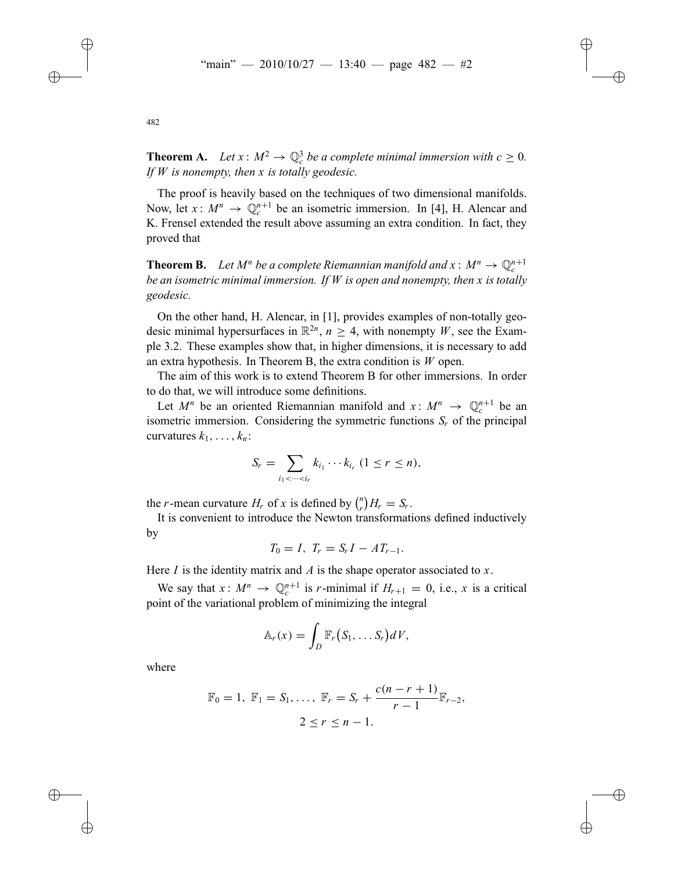**Theorem A.** Let  $x : M^2 \to \mathbb{Q}_c^3$  be a complete minimal immersion with  $c \geq 0$ . *If W is nonempty, then x is totally geodesic.*

The proof is heavily based on the techniques of two dimensional manifolds. Now, let  $x: M^n \to \mathbb{Q}_c^{n+1}$  be an isometric immersion. In [4], H. Alencar and K. Frensel extended the result above assuming an extra condition. In fact, they proved that

**Theorem B.** Let  $M^n$  be a complete Riemannian manifold and  $x : M^n \to \mathbb{Q}_n^{n+1}$ *be an isometric minimal immersion. If W is open and nonempty, then x is totally geodesic.*

On the other hand, H. Alencar, in [1], provides examples of non-totally geodesic minimal hypersurfaces in  $\mathbb{R}^{2n}$ ,  $n > 4$ , with nonempty *W*, see the Example 3.2. These examples show that, in higher dimensions, it is necessary to add an extra hypothesis. In Theorem B, the extra condition is *W* open.

The aim of this work is to extend Theorem B for other immersions. In order to do that, we will introduce some definitions.

Let  $M^n$  be an oriented Riemannian manifold and  $x: M^n \to \mathbb{Q}_c^{n+1}$  be an isometric immersion. Considering the symmetric functions  $S_r$  of the principal curvatures  $k_1, \ldots, k_n$ :

$$
S_r = \sum_{i_1 < \cdots < i_r} k_{i_1} \cdots k_{i_r} \ (1 \leq r \leq n),
$$

the *r*-mean curvature  $H_r$  of *x* is defined by  $\binom{n}{r}H_r = S_r$ .

It is convenient to introduce the Newton transformations defined inductively by

$$
T_0 = I, T_r = S_r I - A T_{r-1}.
$$

Here *I* is the identity matrix and *A* is the shape operator associated to *x*.

We say that  $x: M^n \to \mathbb{Q}_c^{n+1}$  is *r*-minimal if  $H_{r+1} = 0$ , i.e., *x* is a critical point of the variational problem of minimizing the integral

$$
\mathbb{A}_r(x) = \int_D \mathbb{F}_r(S_1,\ldots S_r)dV,
$$

where

$$
\mathbb{F}_0 = 1, \ \mathbb{F}_1 = S_1, \ldots, \ \mathbb{F}_r = S_r + \frac{c(n - r + 1)}{r - 1} \mathbb{F}_{r-2},
$$
  

$$
2 \le r \le n - 1.
$$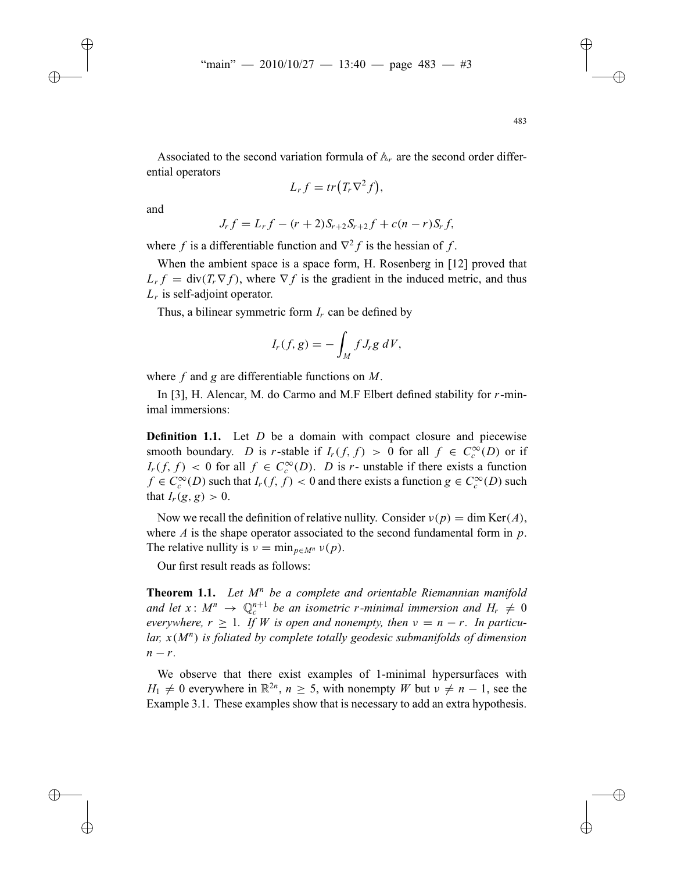Associated to the second variation formula of A*<sup>r</sup>* are the second order differential operators

$$
L_r f = tr\left(T_r \nabla^2 f\right),\,
$$

and

$$
J_r f = L_r f - (r+2)S_{r+2}S_{r+2}f + c(n-r)S_r f,
$$

where *f* is a differentiable function and  $\nabla^2 f$  is the hessian of *f*.

When the ambient space is a space form, H. Rosenberg in [12] proved that  $L_r f = \text{div}(T_r \nabla f)$ , where  $\nabla f$  is the gradient in the induced metric, and thus *Lr* is self-adjoint operator.

Thus, a bilinear symmetric form *Ir* can be defined by

$$
I_r(f,g) = -\int_M f J_r g \, dV,
$$

where *f* and *g* are differentiable functions on *M*.

In [3], H. Alencar, M. do Carmo and M.F Elbert defined stability for *r*-minimal immersions:

**Definition 1.1.** Let *D* be a domain with compact closure and piecewise smooth boundary. *D* is *r*-stable if  $I_r(f, f) > 0$  for all  $f \in C_c^{\infty}(D)$  or if *I<sub>r</sub>*(*f*, *f*) < 0 for all *f* ∈  $C_c^{\infty}(D)$ . *D* is *r*- unstable if there exists a function *f* ∈  $C_c^{\infty}(D)$  such that *I<sub>r</sub>*(*f*, *f*) < 0 and there exists a function *g* ∈  $C_c^{\infty}(D)$  such that  $I_r(g, g) > 0$ .

Now we recall the definition of relative nullity. Consider  $v(p) = \dim \text{Ker}(A)$ , where *A* is the shape operator associated to the second fundamental form in *p*. The relative nullity is  $v = \min_{p \in M^n} v(p)$ .

Our first result reads as follows:

**Theorem 1.1.** *Let M<sup>n</sup> be a complete and orientable Riemannian manifold and let*  $x: M^n \to \mathbb{Q}_c^{n+1}$  *be an isometric r-minimal immersion and*  $H_r \neq 0$ *everywhere,*  $r \geq 1$ *. If W is open and nonempty, then*  $v = n - r$ *. In particular, x*(*M<sup>n</sup>*) *is foliated by complete totally geodesic submanifolds of dimension n* − *r*.

We observe that there exist examples of 1-minimal hypersurfaces with  $H_1 \neq 0$  everywhere in  $\mathbb{R}^{2n}$ ,  $n \geq 5$ , with nonempty *W* but  $\nu \neq n-1$ , see the Example 3.1. These examples show that is necessary to add an extra hypothesis.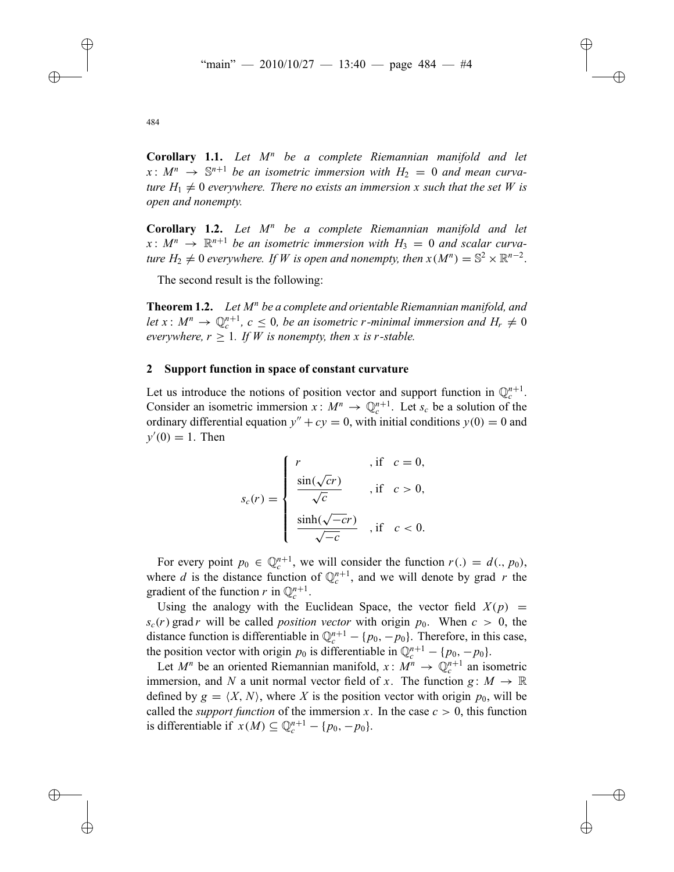**Corollary 1.1.** *Let M<sup>n</sup> be a complete Riemannian manifold and let*  $x: M^n \rightarrow \mathbb{S}^{n+1}$  be an isometric immersion with  $H_2 = 0$  and mean curva*ture*  $H_1 \neq 0$  *everywhere. There no exists an immersion x such that the set W is open and nonempty.*

**Corollary 1.2.** *Let M<sup>n</sup> be a complete Riemannian manifold and let*  $x: M^n \to \mathbb{R}^{n+1}$  be an isometric immersion with  $H_3 = 0$  and scalar curva*ture*  $H_2 \neq 0$  *everywhere. If W is open and nonempty, then*  $x(M^n) = \mathbb{S}^2 \times \mathbb{R}^{n-2}$ .

The second result is the following:

**Theorem 1.2.** *Let M<sup>n</sup> be a complete and orientable Riemannian manifold, and let*  $x: M^n \to \mathbb{Q}_c^{n+1}$ ,  $c \leq 0$ , *be an isometric r-minimal immersion and*  $H_r \neq 0$ *everywhere,*  $r > 1$ *. If W is nonempty, then x is r*-stable.

#### **2 Support function in space of constant curvature**

Let us introduce the notions of position vector and support function in  $\mathbb{Q}_c^{n+1}$ . Consider an isometric immersion  $x: M^n \to \mathbb{Q}_c^{n+1}$ . Let  $s_c$  be a solution of the ordinary differential equation  $y'' + cy = 0$ , with initial conditions  $y(0) = 0$  and  $y'(0) = 1$ . Then

$$
s_c(r) = \begin{cases} r & , \text{if } c = 0, \\ \frac{\sin(\sqrt{c}r)}{\sqrt{c}} & , \text{if } c > 0, \\ \frac{\sinh(\sqrt{-c}r)}{\sqrt{-c}} & , \text{if } c < 0. \end{cases}
$$

For every point  $p_0 \in \mathbb{Q}_c^{n+1}$ , we will consider the function  $r(.) = d(.) p_0$ , where *d* is the distance function of  $\mathbb{Q}_c^{n+1}$ , and we will denote by grad *r* the gradient of the function *r* in  $\mathbb{Q}_c^{n+1}$ .

Using the analogy with the Euclidean Space, the vector field  $X(p)$  =  $s_c(r)$  grad *r* will be called *position vector* with origin  $p_0$ . When  $c > 0$ , the distance function is differentiable in  $\mathbb{Q}_c^{n+1} - \{p_0, -p_0\}$ . Therefore, in this case, the position vector with origin  $p_0$  is differentiable in  $\mathbb{Q}_c^{n+1} - \{p_0, -p_0\}.$ 

Let  $M^n$  be an oriented Riemannian manifold,  $x: M^n \to \mathbb{Q}_c^{n+1}$  an isometric immersion, and *N* a unit normal vector field of *x*. The function  $g: M \to \mathbb{R}$ defined by  $g = \langle X, N \rangle$ , where *X* is the position vector with origin  $p_0$ , will be called the *support function* of the immersion *x*. In the case  $c > 0$ , this function is differentiable if  $x(M) \subseteq \mathbb{Q}_c^{n+1} - \{p_0, -p_0\}.$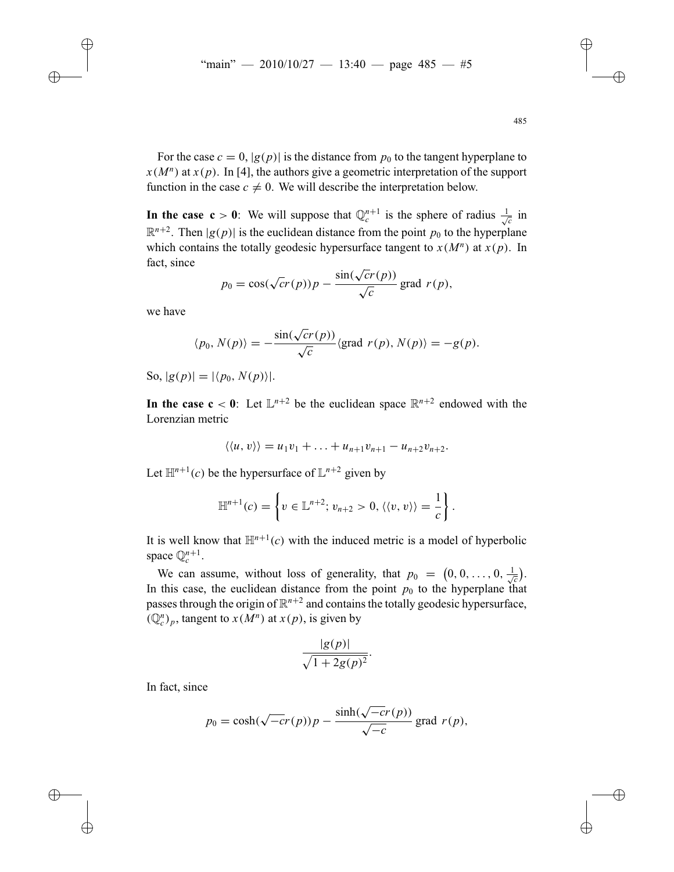For the case  $c = 0$ ,  $|g(p)|$  is the distance from  $p_0$  to the tangent hyperplane to  $x(M^n)$  at  $x(p)$ . In [4], the authors give a geometric interpretation of the support function in the case  $c \neq 0$ . We will describe the interpretation below.

**In the case c** > 0: We will suppose that  $\mathbb{Q}_c^{n+1}$  is the sphere of radius  $\frac{1}{\sqrt{c}}$  in  $\mathbb{R}^{n+2}$ . Then  $|g(p)|$  is the euclidean distance from the point  $p_0$  to the hyperplane which contains the totally geodesic hypersurface tangent to  $x(M^n)$  at  $x(p)$ . In fact, since

$$
p_0 = \cos(\sqrt{cr}(p))p - \frac{\sin(\sqrt{cr}(p))}{\sqrt{c}} \text{ grad } r(p),
$$

we have

$$
\langle p_0, N(p) \rangle = -\frac{\sin(\sqrt{cr(p)})}{\sqrt{c}} \langle \text{grad } r(p), N(p) \rangle = -g(p).
$$

So,  $|g(p)| = |\langle p_0, N(p) \rangle|.$ 

**In the case c** < 0: Let  $\mathbb{L}^{n+2}$  be the euclidean space  $\mathbb{R}^{n+2}$  endowed with the Lorenzian metric

$$
\langle\langle u,v\rangle\rangle=u_1v_1+\ldots+u_{n+1}v_{n+1}-u_{n+2}v_{n+2}.
$$

Let  $\mathbb{H}^{n+1}(c)$  be the hypersurface of  $\mathbb{L}^{n+2}$  given by

$$
\mathbb{H}^{n+1}(c) = \left\{ v \in \mathbb{L}^{n+2}; v_{n+2} > 0, \langle \langle v, v \rangle \rangle = \frac{1}{c} \right\}.
$$

It is well know that  $\mathbb{H}^{n+1}(c)$  with the induced metric is a model of hyperbolic space  $\mathbb{Q}^{n+1}_c$ .

We can assume, without loss of generality, that  $p_0 = (0, 0, \ldots, 0, \frac{1}{\sqrt{c}})$ . In this case, the euclidean distance from the point  $p_0$  to the hyperplane that passes through the origin of  $\mathbb{R}^{n+2}$  and contains the totally geodesic hypersurface,  $(\mathbb{Q}_c^n)_p$ , tangent to  $x(M^n)$  at  $x(p)$ , is given by

$$
\frac{|g(p)|}{\sqrt{1+2g(p)^2}}.
$$

In fact, since

$$
p_0 = \cosh(\sqrt{-c}r(p))p - \frac{\sinh(\sqrt{-c}r(p))}{\sqrt{-c}}\text{ grad }r(p),
$$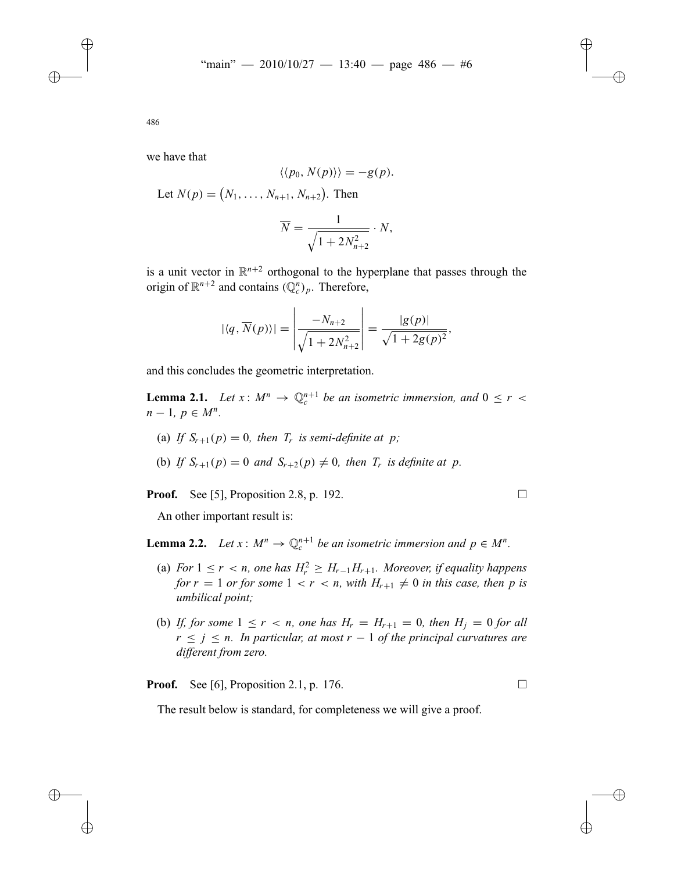we have that

$$
\langle \langle p_0, N(p) \rangle \rangle = -g(p).
$$

Let  $N(p) = (N_1, \ldots, N_{n+1}, N_{n+2})$ . Then

$$
\overline{N} = \frac{1}{\sqrt{1 + 2N_{n+2}^2}} \cdot N,
$$

is a unit vector in  $\mathbb{R}^{n+2}$  orthogonal to the hyperplane that passes through the origin of  $\mathbb{R}^{n+2}$  and contains  $(\mathbb{Q}_c^n)_p$ . Therefore,

$$
|\langle q, \overline{N}(p)\rangle| = \left| \frac{-N_{n+2}}{\sqrt{1 + 2N_{n+2}^2}} \right| = \frac{|g(p)|}{\sqrt{1 + 2g(p)^2}},
$$

and this concludes the geometric interpretation.

**Lemma 2.1.** *Let*  $x: M^n \to \mathbb{Q}_c^{n+1}$  *be an isometric immersion, and*  $0 \le r <$  $n-1, p \in M^n$ .

- (a) If  $S_{r+1}(p) = 0$ , then  $T_r$  is semi-definite at p;
- (b) *If*  $S_{r+1}(p) = 0$  *and*  $S_{r+2}(p) \neq 0$ *, then*  $T_r$  *is definite at p*.

**Proof.** See [5], Proposition 2.8, p. 192. □

An other important result is:

**Lemma 2.2.** *Let*  $x: M^n \to \mathbb{Q}_c^{n+1}$  *be an isometric immersion and*  $p \in M^n$ .

- (a) *For*  $1 \leq r < n$ , one has  $H_r^2 \geq H_{r-1}H_{r+1}$ *. Moreover, if equality happens for*  $r = 1$  *or for some*  $1 < r < n$ *, with*  $H_{r+1} \neq 0$  *in this case, then p is umbilical point;*
- (b) If, for some  $1 \leq r < n$ , one has  $H_r = H_{r+1} = 0$ , then  $H_i = 0$  for all  $r \leq j \leq n$ . In particular, at most  $r - 1$  of the principal curvatures are *different from zero.*

**Proof.** See [6], Proposition 2.1, p. 176. □

The result below is standard, for completeness we will give a proof.

486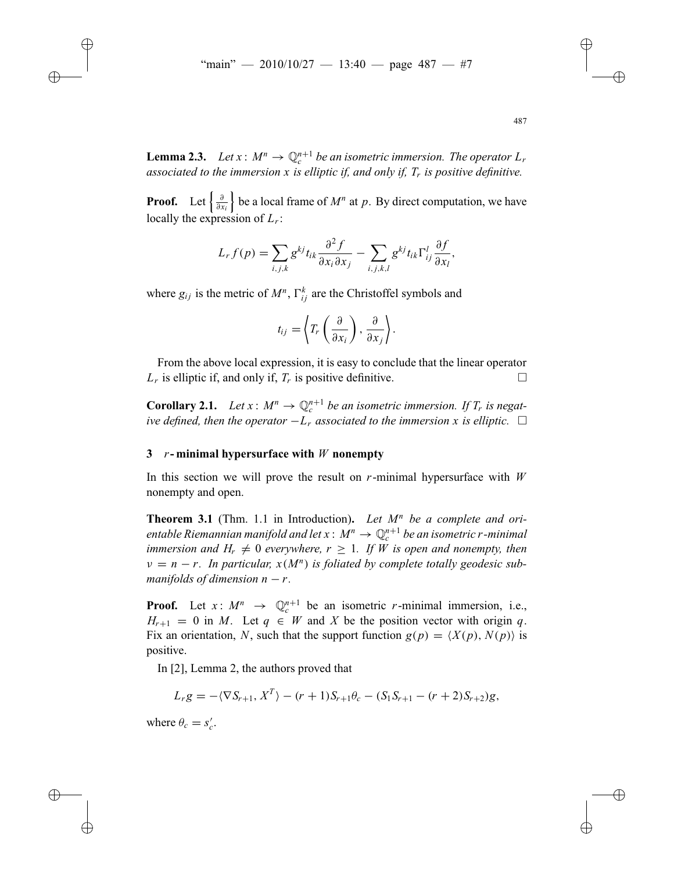**Lemma 2.3.** *Let*  $x: M^n \to \mathbb{Q}_c^{n+1}$  *be an isometric immersion. The operator*  $L_r$ *associated to the immersion x is elliptic if, and only if, Tr is positive definitive.*

**Proof.** Let  $\left\{\frac{\partial}{\partial x_i}\right\}$  $\}$  be a local frame of  $M^n$  at p. By direct computation, we have locally the expression of *Lr*:

$$
L_r f(p) = \sum_{i,j,k} g^{kj} t_{ik} \frac{\partial^2 f}{\partial x_i \partial x_j} - \sum_{i,j,k,l} g^{kj} t_{ik} \Gamma^l_{ij} \frac{\partial f}{\partial x_l},
$$

where  $g_{ij}$  is the metric of  $M^n$ ,  $\Gamma^k_{ij}$  are the Christoffel symbols and

$$
t_{ij} = \left\langle T_r\left(\frac{\partial}{\partial x_i}\right), \frac{\partial}{\partial x_j}\right\rangle.
$$

From the above local expression, it is easy to conclude that the linear operator  $L_r$  is elliptic if, and only if,  $T_r$  is positive definitive.

**Corollary 2.1.** *Let*  $x: M^n \to \mathbb{Q}_c^{n+1}$  *be an isometric immersion. If*  $T_r$  *is negative defined, then the operator*  $−L_r$  *associated to the immersion x is elliptic.*  $□$ 

## **3** *r***- minimal hypersurface with** *W* **nonempty**

In this section we will prove the result on *r*-minimal hypersurface with *W* nonempty and open.

**Theorem 3.1** (Thm. 1.1 in Introduction)**.** *Let M<sup>n</sup> be a complete and orientable Riemannian manifold and let*  $x : M^n \to \mathbb{Q}_c^{n+1}$  *be an isometric r-minimal immersion and*  $H_r \neq 0$  *everywhere,*  $r \geq 1$ *. If W is open and nonempty, then*  $v = n - r$ . In particular,  $x(M^n)$  is foliated by complete totally geodesic sub*manifolds of dimension*  $n - r$ .

**Proof.** Let  $x: M^n \rightarrow \mathbb{Q}_c^{n+1}$  be an isometric *r*-minimal immersion, i.e.,  $H_{r+1} = 0$  in *M*. Let  $q \in W$  and *X* be the position vector with origin *q*. Fix an orientation, *N*, such that the support function  $g(p) = \langle X(p), N(p) \rangle$  is positive.

In [2], Lemma 2, the authors proved that

$$
L_r g = -\langle \nabla S_{r+1}, X^T \rangle - (r+1)S_{r+1}\theta_c - (S_1 S_{r+1} - (r+2)S_{r+2})g,
$$

where  $\theta_c = s'_c$ .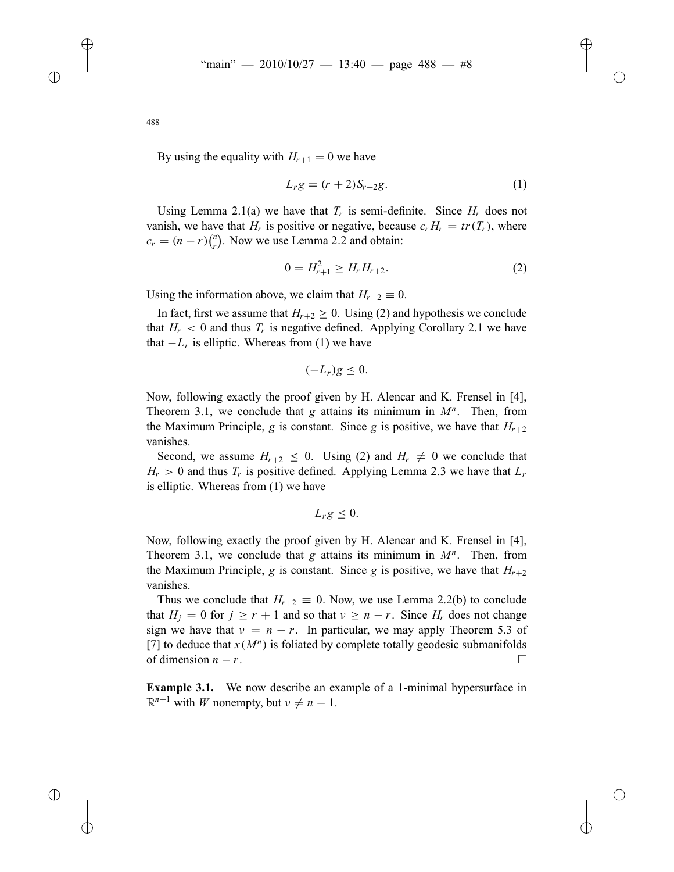By using the equality with  $H_{r+1} = 0$  we have

$$
L_r g = (r+2)S_{r+2}g.
$$
 (1)

Using Lemma 2.1(a) we have that  $T_r$  is semi-definite. Since  $H_r$  does not vanish, we have that *H<sub>r</sub>* is positive or negative, because  $c_r H_r = tr(T_r)$ , where  $c_r = (n - r) {n \choose r}$ . Now we use Lemma 2.2 and obtain:

$$
0 = H_{r+1}^2 \ge H_r H_{r+2}.
$$
 (2)

Using the information above, we claim that  $H_{r+2} \equiv 0$ .

In fact, first we assume that  $H_{r+2} \geq 0$ . Using (2) and hypothesis we conclude that  $H_r < 0$  and thus  $T_r$  is negative defined. Applying Corollary 2.1 we have that  $-L_r$  is elliptic. Whereas from (1) we have

$$
(-L_r)g\leq 0.
$$

Now, following exactly the proof given by H. Alencar and K. Frensel in [4], Theorem 3.1, we conclude that  $g$  attains its minimum in  $M^n$ . Then, from the Maximum Principle, *g* is constant. Since *g* is positive, we have that  $H_{r+2}$ vanishes.

Second, we assume  $H_{r+2} \leq 0$ . Using (2) and  $H_r \neq 0$  we conclude that  $H_r > 0$  and thus  $T_r$  is positive defined. Applying Lemma 2.3 we have that  $L_r$ is elliptic. Whereas from (1) we have

$$
L_r g \leq 0.
$$

Now, following exactly the proof given by H. Alencar and K. Frensel in [4], Theorem 3.1, we conclude that  $g$  attains its minimum in  $M^n$ . Then, from the Maximum Principle, *g* is constant. Since *g* is positive, we have that  $H_{r+2}$ vanishes.

Thus we conclude that  $H_{r+2} \equiv 0$ . Now, we use Lemma 2.2(b) to conclude that  $H_i = 0$  for  $j \ge r + 1$  and so that  $v \ge n - r$ . Since  $H_r$  does not change sign we have that  $v = n - r$ . In particular, we may apply Theorem 5.3 of [7] to deduce that  $x(M^n)$  is foliated by complete totally geodesic submanifolds of dimension  $n - r$ . □

**Example 3.1.** We now describe an example of a 1-minimal hypersurface in  $\mathbb{R}^{n+1}$  with *W* nonempty, but  $\nu \neq n-1$ .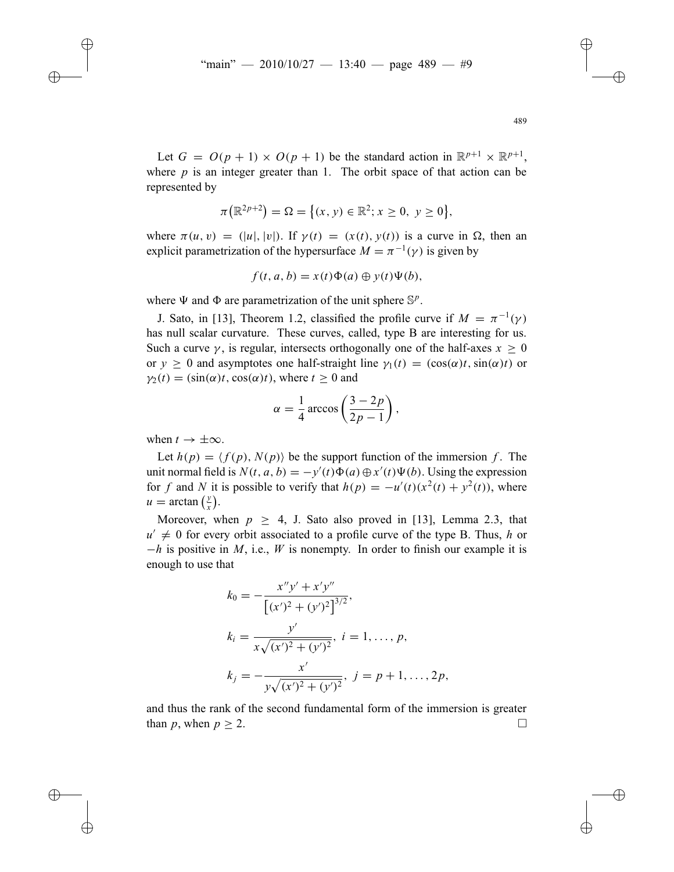Let  $G = O(p + 1) \times O(p + 1)$  be the standard action in  $\mathbb{R}^{p+1} \times \mathbb{R}^{p+1}$ , where *p* is an integer greater than 1. The orbit space of that action can be represented by

$$
\pi(\mathbb{R}^{2p+2}) = \Omega = \{(x, y) \in \mathbb{R}^2; x \ge 0, y \ge 0\},\
$$

where  $\pi(u, v) = (|u|, |v|)$ . If  $\gamma(t) = (x(t), y(t))$  is a curve in  $\Omega$ , then an explicit parametrization of the hypersurface  $M = \pi^{-1}(\gamma)$  is given by

$$
f(t, a, b) = x(t)\Phi(a) \oplus y(t)\Psi(b),
$$

where  $\Psi$  and  $\Phi$  are parametrization of the unit sphere  $\mathbb{S}^p$ .

J. Sato, in [13], Theorem 1.2, classified the profile curve if  $M = \pi^{-1}(\gamma)$ has null scalar curvature. These curves, called, type B are interesting for us. Such a curve  $\gamma$ , is regular, intersects orthogonally one of the half-axes  $x > 0$ or  $y > 0$  and asymptotes one half-straight line  $\gamma_1(t) = (\cos(\alpha)t, \sin(\alpha)t)$  or  $\gamma_2(t) = (\sin(\alpha)t, \cos(\alpha)t)$ , where  $t > 0$  and

$$
\alpha = \frac{1}{4}\arccos\left(\frac{3-2p}{2p-1}\right),\,
$$

when  $t \to \pm \infty$ .

Let  $h(p) = \langle f(p), N(p) \rangle$  be the support function of the immersion f. The unit normal field is  $N(t, a, b) = -y'(t)\Phi(a) \oplus x'(t)\Psi(b)$ . Using the expression for *f* and *N* it is possible to verify that  $h(p) = -u'(t)(x^2(t) + y^2(t))$ , where  $u = \arctan\left(\frac{y}{x}\right)$ .

Moreover, when  $p \geq 4$ , J. Sato also proved in [13], Lemma 2.3, that  $u' \neq 0$  for every orbit associated to a profile curve of the type B. Thus, *h* or −*h* is positive in *M*, i.e., *W* is nonempty. In order to finish our example it is enough to use that

$$
k_0 = -\frac{x''y' + x'y''}{\left[(x')^2 + (y')^2\right]^{3/2}},
$$
  
\n
$$
k_i = \frac{y'}{x\sqrt{(x')^2 + (y')^2}}, \quad i = 1, \dots, p,
$$
  
\n
$$
k_j = -\frac{x'}{y\sqrt{(x')^2 + (y')^2}}, \quad j = p + 1, \dots, 2p,
$$

and thus the rank of the second fundamental form of the immersion is greater than *p*, when  $p \geq 2$ .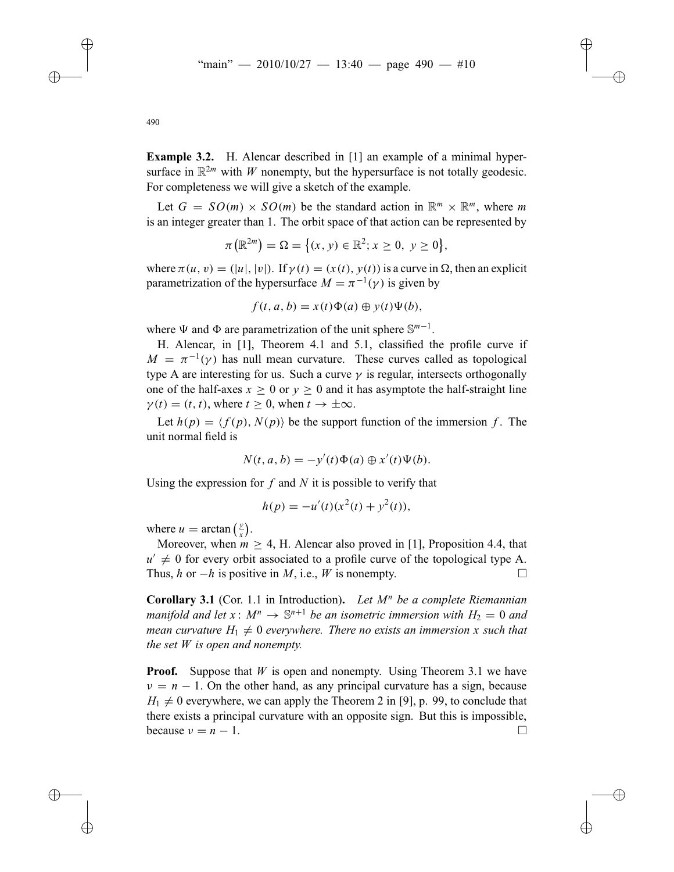**Example 3.2.** H. Alencar described in [1] an example of a minimal hypersurface in  $\mathbb{R}^{2m}$  with *W* nonempty, but the hypersurface is not totally geodesic.

For completeness we will give a sketch of the example.

Let  $G = SO(m) \times SO(m)$  be the standard action in  $\mathbb{R}^m \times \mathbb{R}^m$ , where m is an integer greater than 1. The orbit space of that action can be represented by

$$
\pi(\mathbb{R}^{2m}) = \Omega = \{(x, y) \in \mathbb{R}^2; x \ge 0, y \ge 0\},\
$$

where  $\pi(u, v) = (|u|, |v|)$ . If  $\gamma(t) = (x(t), y(t))$  is a curve in  $\Omega$ , then an explicit parametrization of the hypersurface  $M = \pi^{-1}(\gamma)$  is given by

$$
f(t, a, b) = x(t)\Phi(a) \oplus y(t)\Psi(b),
$$

where  $\Psi$  and  $\Phi$  are parametrization of the unit sphere  $\mathbb{S}^{m-1}$ .

H. Alencar, in [1], Theorem 4.1 and 5.1, classified the profile curve if  $M = \pi^{-1}(\gamma)$  has null mean curvature. These curves called as topological type A are interesting for us. Such a curve  $\gamma$  is regular, intersects orthogonally one of the half-axes  $x > 0$  or  $y > 0$  and it has asymptote the half-straight line  $\gamma(t) = (t, t)$ , where  $t > 0$ , when  $t \to \pm \infty$ .

Let  $h(p) = \langle f(p), N(p) \rangle$  be the support function of the immersion *f*. The unit normal field is

$$
N(t, a, b) = -y'(t)\Phi(a) \oplus x'(t)\Psi(b).
$$

Using the expression for *f* and *N* it is possible to verify that

 $h(p) = -u'(t)(x^2(t) + y^2(t)),$ 

where  $u = \arctan\left(\frac{y}{x}\right)$ .

Moreover, when  $m \geq 4$ , H. Alencar also proved in [1], Proposition 4.4, that  $u' \neq 0$  for every orbit associated to a profile curve of the topological type A.<br>Thus *h* or  $-h$  is positive in *M* i.e. *W* is nonempty Thus, *h* or  $-h$  is positive in *M*, i.e., *W* is nonempty.

**Corollary 3.1** (Cor. 1.1 in Introduction)**.** *Let M<sup>n</sup> be a complete Riemannian manifold and let*  $x: M^n \to \mathbb{S}^{n+1}$  *be an isometric immersion with*  $H_2 = 0$  *and mean curvature*  $H_1 \neq 0$  *everywhere. There no exists an immersion x such that the set W is open and nonempty.*

**Proof.** Suppose that *W* is open and nonempty. Using Theorem 3.1 we have  $v = n - 1$ . On the other hand, as any principal curvature has a sign, because  $H_1 \neq 0$  everywhere, we can apply the Theorem 2 in [9], p. 99, to conclude that there exists a principal curvature with an opposite sign. But this is impossible, because  $v = n - 1$ .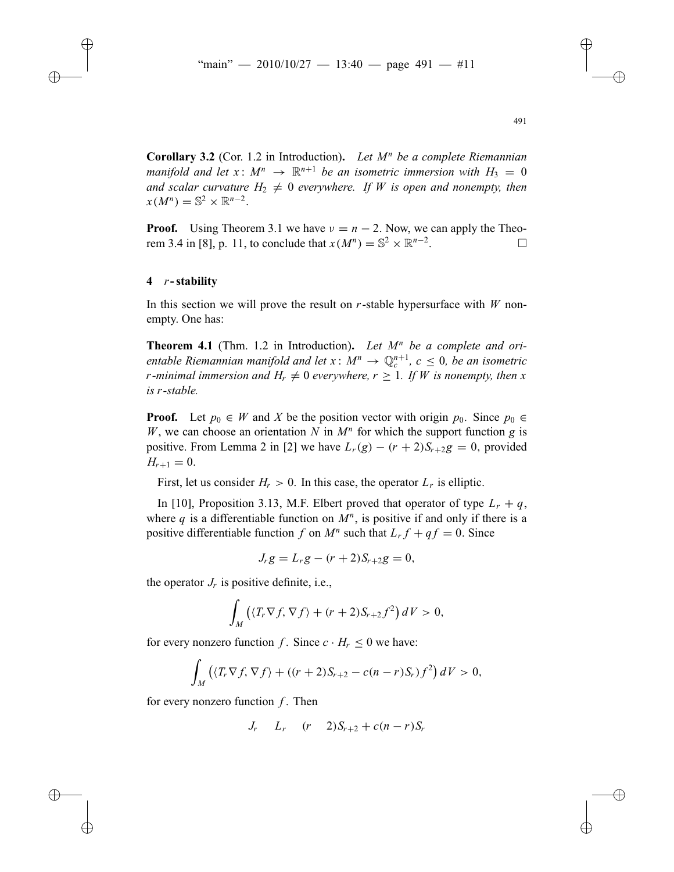**Corollary 3.2** (Cor. 1.2 in Introduction)**.** *Let M<sup>n</sup> be a complete Riemannian manifold and let*  $x: M^n \to \mathbb{R}^{n+1}$  *be an isometric immersion with*  $H_3 = 0$ *and scalar curvature*  $H_2 \neq 0$  *everywhere. If W is open and nonempty, then*  $x(M^n) = \mathbb{S}^2 \times \mathbb{R}^{n-2}$ .

**Proof.** Using Theorem 3.1 we have  $v = n - 2$ . Now, we can apply the Theorem 3.4 in [8] n 11 to conclude that  $x(M^n) = \mathbb{S}^2 \times \mathbb{R}^{n-2}$ rem 3.4 in [8], p. 11, to conclude that  $x(M^n) = \mathbb{S}^2 \times \mathbb{R}^{n-2}$ .

### **4** *r***-stability**

In this section we will prove the result on *r*-stable hypersurface with *W* nonempty. One has:

**Theorem 4.1** (Thm. 1.2 in Introduction)**.** *Let M<sup>n</sup> be a complete and orientable Riemannian manifold and let*  $x : M^n \to \mathbb{Q}_c^{n+1}$ ,  $c \leq 0$ , *be an isometric r*-minimal immersion and  $H_r \neq 0$  everywhere,  $r \geq 1$ . If *W* is nonempty, then *x is r-stable.*

**Proof.** Let  $p_0 \in W$  and X be the position vector with origin  $p_0$ . Since  $p_0 \in W$ *W*, we can choose an orientation *N* in  $M^n$  for which the support function *g* is positive. From Lemma 2 in [2] we have  $L_r(g) - (r + 2)S_{r+2}g = 0$ , provided  $H_{r+1} = 0.$ 

First, let us consider  $H_r > 0$ . In this case, the operator  $L_r$  is elliptic.

In [10], Proposition 3.13, M.F. Elbert proved that operator of type  $L_r + q$ , where q is a differentiable function on  $M^n$ , is positive if and only if there is a positive differentiable function *f* on  $M^n$  such that  $L_r f + qf = 0$ . Since

$$
J_r g = L_r g - (r+2)S_{r+2} g = 0,
$$

the operator  $J_r$  is positive definite, i.e.,

$$
\int_M \left( \langle T_r \nabla f, \nabla f \rangle + (r+2) S_{r+2} f^2 \right) dV > 0,
$$

for every nonzero function *f*. Since  $c \cdot H_r \leq 0$  we have:

$$
\int_M \left( \langle T_r \nabla f, \nabla f \rangle + \left( (r+2)S_{r+2} - c(n-r)S_r \right) f^2 \right) dV > 0,
$$

for every nonzero function *f* . Then

 $J_r$   $L_r$   $(r - 2)S_{r+2} + c(n - r)S_r$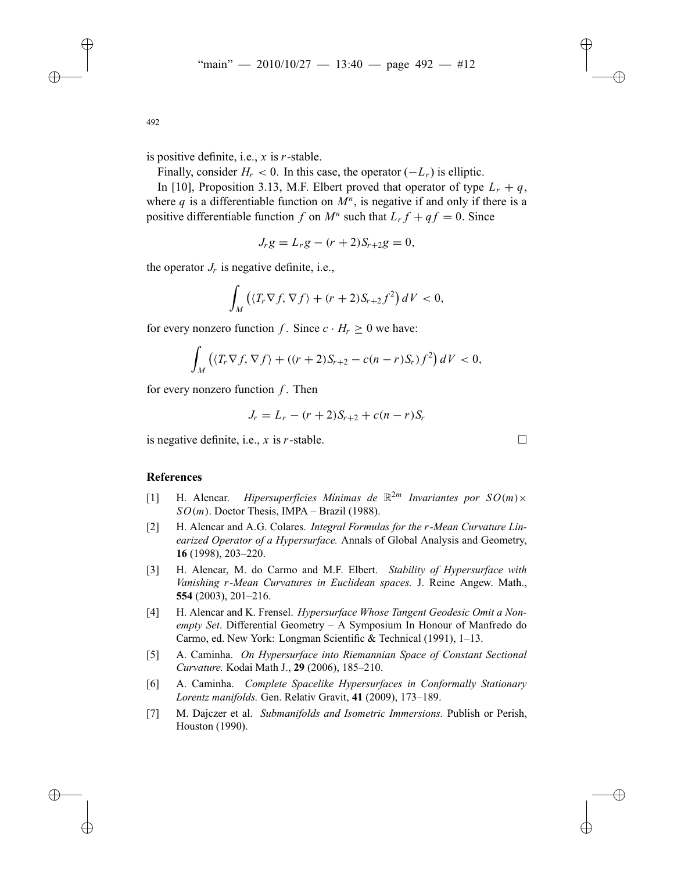is positive definite, i.e., *x* is *r*-stable.

Finally, consider  $H_r < 0$ . In this case, the operator  $(-L_r)$  is elliptic.

In [10], Proposition 3.13, M.F. Elbert proved that operator of type  $L_r + q$ , where *q* is a differentiable function on  $M<sup>n</sup>$ , is negative if and only if there is a positive differentiable function *f* on  $M^n$  such that  $L_r f + qf = 0$ . Since

$$
J_r g = L_r g - (r+2)S_{r+2} g = 0,
$$

the operator  $J_r$  is negative definite, i.e.,

$$
\int_M \left( \langle T_r \nabla f, \nabla f \rangle + (r+2) S_{r+2} f^2 \right) dV < 0,
$$

for every nonzero function *f*. Since  $c \cdot H_r > 0$  we have:

$$
\int_M ((T_r \nabla f, \nabla f) + ((r+2)S_{r+2} - c(n-r)S_r) f^2) dV < 0,
$$

for every nonzero function *f* . Then

$$
J_r = L_r - (r+2)S_{r+2} + c(n-r)S_r
$$

is negative definite, i.e.,  $x$  is  $r$ -stable.

# **References**

- [1] H. Alencar. *Hipersuperficies Minimas de*  $\mathbb{R}^{2m}$  *Invariantes por*  $SO(m)\times$  $SO(m)$ . Doctor Thesis, IMPA – Brazil (1988).
- [2] H. Alencar and A.G. Colares. *Integral Formulas for the r-Mean Curvature Linearized Operator of a Hypersurface.* Annals of Global Analysis and Geometry, **16** (1998), 203–220.
- [3] H. Alencar, M. do Carmo and M.F. Elbert. *Stability of Hypersurface with Vanishing r-Mean Curvatures in Euclidean spaces.* J. Reine Angew. Math., **554** (2003), 201–216.
- [4] H. Alencar and K. Frensel. *Hypersurface Whose Tangent Geodesic Omit a Nonempty Set*. Differential Geometry – A Symposium In Honour of Manfredo do Carmo, ed. New York: Longman Scientific & Technical (1991), 1–13.
- [5] A. Caminha. *On Hypersurface into Riemannian Space of Constant Sectional Curvature.* Kodai Math J., **29** (2006), 185–210.
- [6] A. Caminha. *Complete Spacelike Hypersurfaces in Conformally Stationary Lorentz manifolds.* Gen. Relativ Gravit, **41** (2009), 173–189.
- [7] M. Dajczer et al. *Submanifolds and Isometric Immersions.* Publish or Perish, Houston (1990).